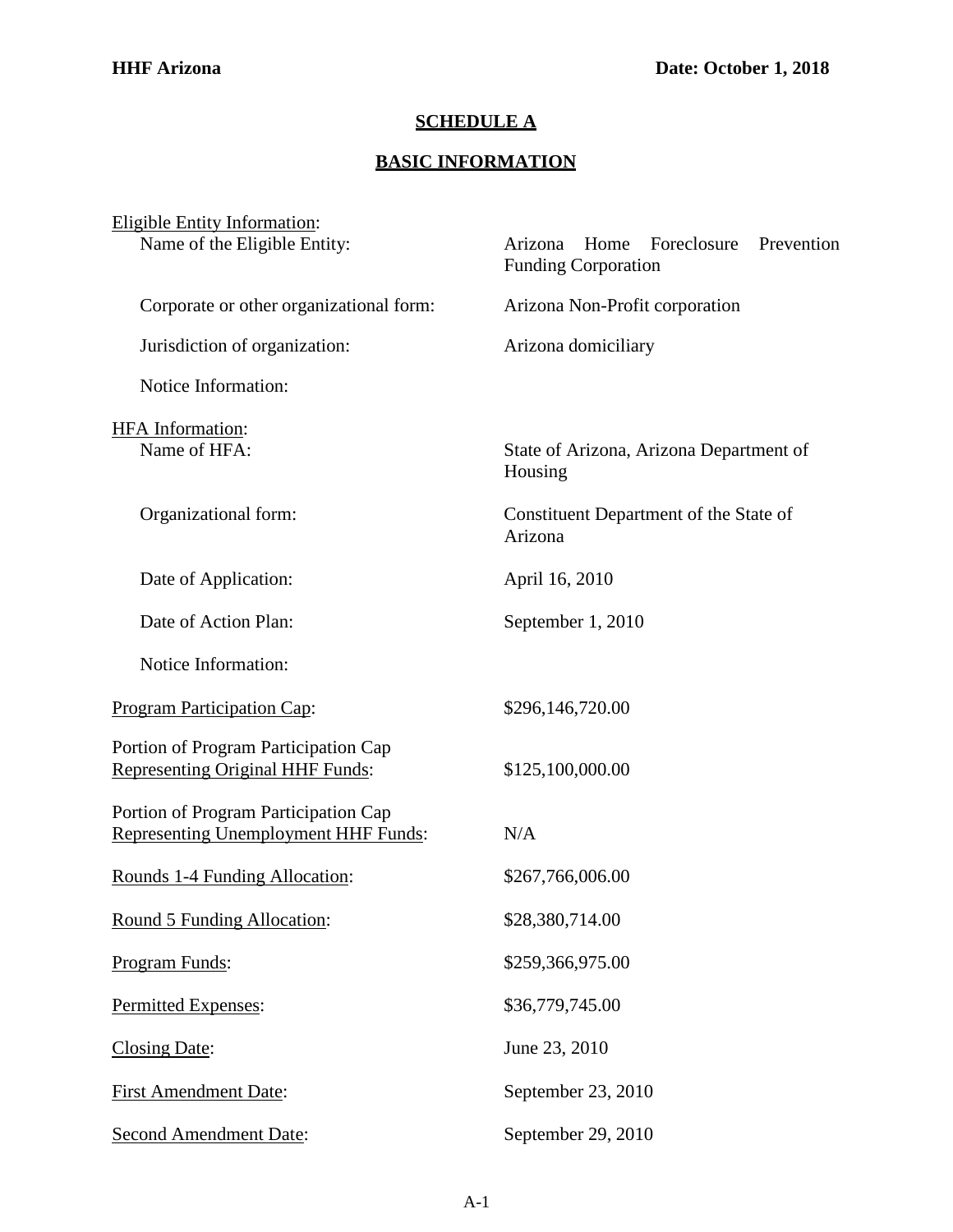## **SCHEDULE A**

## **BASIC INFORMATION**

| <b>Eligible Entity Information:</b><br>Name of the Eligible Entity:                 | Arizona Home Foreclosure Prevention<br><b>Funding Corporation</b> |
|-------------------------------------------------------------------------------------|-------------------------------------------------------------------|
| Corporate or other organizational form:                                             | Arizona Non-Profit corporation                                    |
| Jurisdiction of organization:                                                       | Arizona domiciliary                                               |
| Notice Information:                                                                 |                                                                   |
| HFA Information:<br>Name of HFA:                                                    | State of Arizona, Arizona Department of<br>Housing                |
| Organizational form:                                                                | Constituent Department of the State of<br>Arizona                 |
| Date of Application:                                                                | April 16, 2010                                                    |
| Date of Action Plan:                                                                | September 1, 2010                                                 |
| Notice Information:                                                                 |                                                                   |
| <b>Program Participation Cap:</b>                                                   | \$296,146,720.00                                                  |
| Portion of Program Participation Cap<br><b>Representing Original HHF Funds:</b>     | \$125,100,000.00                                                  |
| Portion of Program Participation Cap<br><b>Representing Unemployment HHF Funds:</b> | N/A                                                               |
| Rounds 1-4 Funding Allocation:                                                      | \$267,766,006.00                                                  |
| Round 5 Funding Allocation:                                                         | \$28,380,714.00                                                   |
| Program Funds:                                                                      | \$259,366,975.00                                                  |
| Permitted Expenses:                                                                 | \$36,779,745.00                                                   |
| <b>Closing Date:</b>                                                                | June 23, 2010                                                     |
| <b>First Amendment Date:</b>                                                        | September 23, 2010                                                |
| <b>Second Amendment Date:</b>                                                       | September 29, 2010                                                |